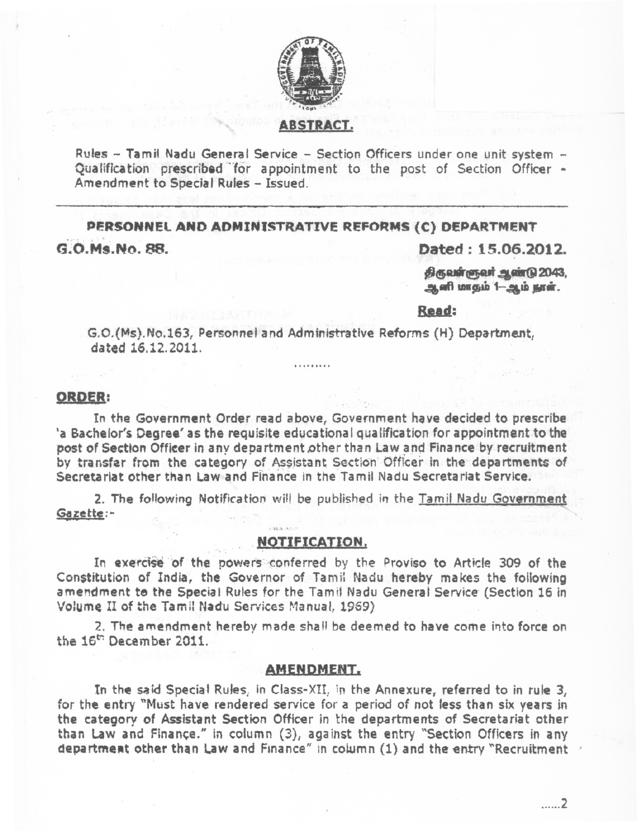

# **ABSTRACT.**

Rules - Tamil Nadu General Service - Section Officers under one unit system -Qualification prescribed for appointment to the post of Section Officer -Amendment to Special Rules - Issued.

PERSONNEL AND ADMINISTRATIVE REFORMS (C) DEPARTMENT G.O.Ms.No. 88.

Dated: 15.06.2012.

திருவள்ளுவர் ஆண்டு 2043, ஆளி மாதம் 1-ஆம் நூள்.

## Read:

G.O.(Ms).No.163, Personnel and Administrative Reforms (H) Department, dated 16.12.2011.

. . . . . . . .

#### ORDER:

In the Government Order read above, Government have decided to prescribe 'a Bachelor's Degree' as the requisite educational qualification for appointment to the post of Section Officer in any department other than Law and Finance by recruitment by transfer from the category of Assistant Section Officer in the departments of Secretariat other than Law and Finance in the Tamil Nadu Secretariat Service.

2. The following Notification will be published in the Tamil Nadu Government Gazette:-

#### NOTIFICATION.

In exercise of the powers conferred by the Proviso to Article 309 of the Constitution of India, the Governor of Tamil Nadu hereby makes the following amendment to the Special Rules for the Tamil Nadu General Service (Section 16 in Volume II of the Tamil Nadu Services Manual, 1969)

2. The amendment hereby made shall be deemed to have come into force on the 16<sup>th</sup> December 2011.

### **AMENDMENT.**

In the said Special Rules, in Class-XII, in the Annexure, referred to in rule 3, for the entry "Must have rendered service for a period of not less than six vears in the category of Assistant Section Officer in the departments of Secretariat other than Law and Finance." in column (3), against the entry "Section Officers in any department other than Law and Finance" in column (1) and the entry "Recruitment

. . . . . . 2